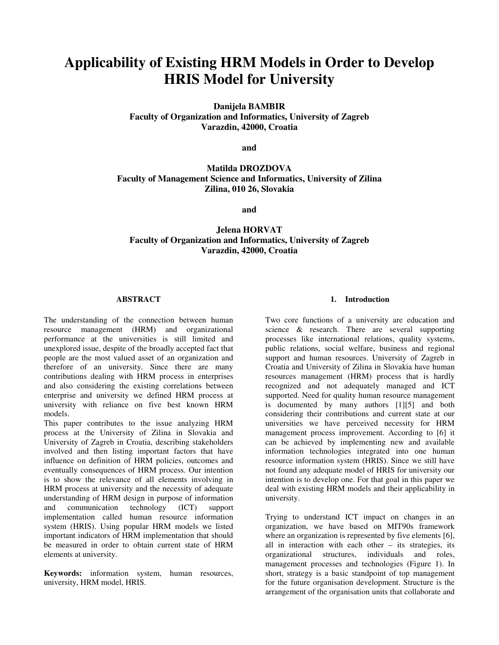# **Applicability of Existing HRM Models in Order to Develop HRIS Model for University**

**Danijela BAMBIR Faculty of Organization and Informatics, University of Zagreb Varazdin, 42000, Croatia** 

**and** 

# **Matilda DROZDOVA Faculty of Management Science and Informatics, University of Zilina Zilina, 010 26, Slovakia**

**and** 

# **Jelena HORVAT Faculty of Organization and Informatics, University of Zagreb Varazdin, 42000, Croatia**

#### **ABSTRACT**

The understanding of the connection between human resource management (HRM) and organizational performance at the universities is still limited and unexplored issue, despite of the broadly accepted fact that people are the most valued asset of an organization and therefore of an university. Since there are many contributions dealing with HRM process in enterprises and also considering the existing correlations between enterprise and university we defined HRM process at university with reliance on five best known HRM models.

This paper contributes to the issue analyzing HRM process at the University of Zilina in Slovakia and University of Zagreb in Croatia, describing stakeholders involved and then listing important factors that have influence on definition of HRM policies, outcomes and eventually consequences of HRM process. Our intention is to show the relevance of all elements involving in HRM process at university and the necessity of adequate understanding of HRM design in purpose of information and communication technology (ICT) support implementation called human resource information system (HRIS). Using popular HRM models we listed important indicators of HRM implementation that should be measured in order to obtain current state of HRM elements at university.

**Keywords:** information system, human resources, university, HRM model, HRIS.

#### **1. Introduction**

Two core functions of a university are education and science & research. There are several supporting processes like international relations, quality systems, public relations, social welfare, business and regional support and human resources. University of Zagreb in Croatia and University of Zilina in Slovakia have human resources management (HRM) process that is hardly recognized and not adequately managed and ICT supported. Need for quality human resource management is documented by many authors [1][5] and both considering their contributions and current state at our universities we have perceived necessity for HRM management process improvement. According to [6] it can be achieved by implementing new and available information technologies integrated into one human resource information system (HRIS). Since we still have not found any adequate model of HRIS for university our intention is to develop one. For that goal in this paper we deal with existing HRM models and their applicability in university.

Trying to understand ICT impact on changes in an organization, we have based on MIT90s framework where an organization is represented by five elements [6], all in interaction with each other – its strategies, its organizational structures, individuals and roles, management processes and technologies (Figure 1). In short, strategy is a basic standpoint of top management for the future organisation development. Structure is the arrangement of the organisation units that collaborate and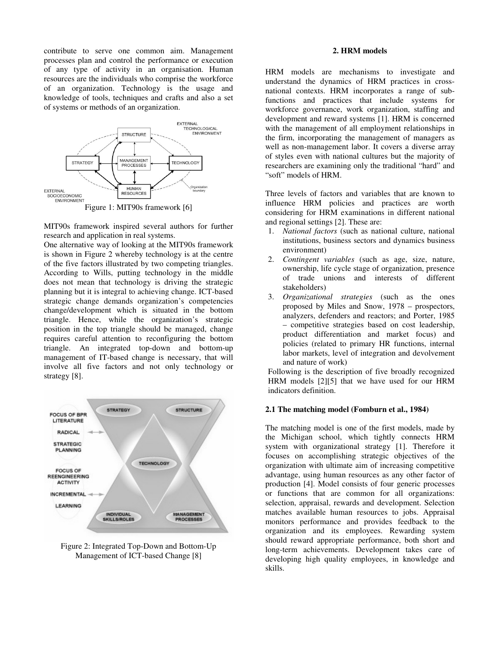contribute to serve one common aim. Management processes plan and control the performance or execution of any type of activity in an organisation. Human resources are the individuals who comprise the workforce of an organization. Technology is the usage and knowledge of tools, techniques and crafts and also a set of systems or methods of an organization.



Figure 1: MIT90s framework [6]

MIT90s framework inspired several authors for further research and application in real systems.

One alternative way of looking at the MIT90s framework is shown in Figure 2 whereby technology is at the centre of the five factors illustrated by two competing triangles. According to Wills, putting technology in the middle does not mean that technology is driving the strategic planning but it is integral to achieving change. ICT-based strategic change demands organization's competencies change/development which is situated in the bottom triangle. Hence, while the organization's strategic position in the top triangle should be managed, change requires careful attention to reconfiguring the bottom triangle. An integrated top-down and bottom-up management of IT-based change is necessary, that will involve all five factors and not only technology or strategy [8].



Figure 2: Integrated Top-Down and Bottom-Up Management of ICT-based Change [8]

#### **2. HRM models**

HRM models are mechanisms to investigate and understand the dynamics of HRM practices in crossnational contexts. HRM incorporates a range of subfunctions and practices that include systems for workforce governance, work organization, staffing and development and reward systems [1]. HRM is concerned with the management of all employment relationships in the firm, incorporating the management of managers as well as non-management labor. It covers a diverse array of styles even with national cultures but the majority of researchers are examining only the traditional "hard" and "soft" models of HRM.

Three levels of factors and variables that are known to influence HRM policies and practices are worth considering for HRM examinations in different national and regional settings [2]. These are:

- 1. *National factors* (such as national culture, national institutions, business sectors and dynamics business environment)
- 2. *Contingent variables* (such as age, size, nature, ownership, life cycle stage of organization, presence of trade unions and interests of different stakeholders)
- 3. *Organizational strategies* (such as the ones proposed by Miles and Snow, 1978 – prospectors, analyzers, defenders and reactors; and Porter, 1985 – competitive strategies based on cost leadership, product differentiation and market focus) and policies (related to primary HR functions, internal labor markets, level of integration and devolvement and nature of work)

Following is the description of five broadly recognized HRM models [2][5] that we have used for our HRM indicators definition.

#### **2.1 The matching model (Fomburn et al., 1984)**

The matching model is one of the first models, made by the Michigan school, which tightly connects HRM system with organizational strategy [1]. Therefore it focuses on accomplishing strategic objectives of the organization with ultimate aim of increasing competitive advantage, using human resources as any other factor of production [4]. Model consists of four generic processes or functions that are common for all organizations: selection, appraisal, rewards and development. Selection matches available human resources to jobs. Appraisal monitors performance and provides feedback to the organization and its employees. Rewarding system should reward appropriate performance, both short and long-term achievements. Development takes care of developing high quality employees, in knowledge and skills.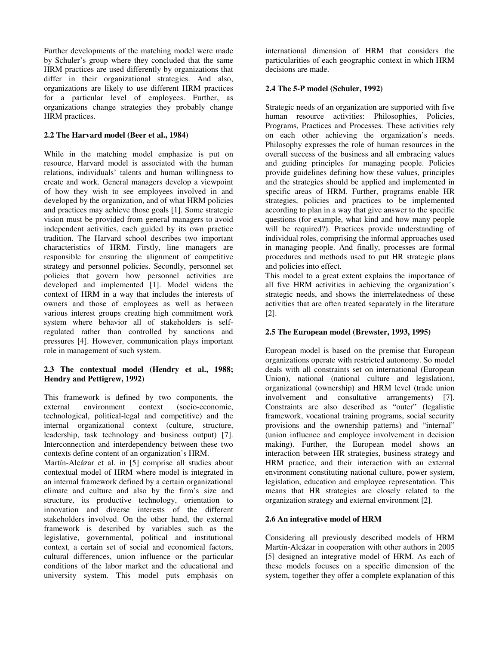Further developments of the matching model were made by Schuler's group where they concluded that the same HRM practices are used differently by organizations that differ in their organizational strategies. And also, organizations are likely to use different HRM practices for a particular level of employees. Further, as organizations change strategies they probably change HRM practices.

## **2.2 The Harvard model (Beer et al., 1984)**

While in the matching model emphasize is put on resource, Harvard model is associated with the human relations, individuals' talents and human willingness to create and work. General managers develop a viewpoint of how they wish to see employees involved in and developed by the organization, and of what HRM policies and practices may achieve those goals [1]. Some strategic vision must be provided from general managers to avoid independent activities, each guided by its own practice tradition. The Harvard school describes two important characteristics of HRM. Firstly, line managers are responsible for ensuring the alignment of competitive strategy and personnel policies. Secondly, personnel set policies that govern how personnel activities are developed and implemented [1]. Model widens the context of HRM in a way that includes the interests of owners and those of employees as well as between various interest groups creating high commitment work system where behavior all of stakeholders is selfregulated rather than controlled by sanctions and pressures [4]. However, communication plays important role in management of such system.

## **2.3 The contextual model (Hendry et al., 1988; Hendry and Pettigrew, 1992)**

This framework is defined by two components, the external environment context (socio-economic.) external environment context (socio-economic, technological, political-legal and competitive) and the internal organizational context (culture, structure, leadership, task technology and business output) [7]. Interconnection and interdependency between these two contexts define content of an organization's HRM.

Martín-Alcázar et al. in [5] comprise all studies about contextual model of HRM where model is integrated in an internal framework defined by a certain organizational climate and culture and also by the firm's size and structure, its productive technology, orientation to innovation and diverse interests of the different stakeholders involved. On the other hand, the external framework is described by variables such as the legislative, governmental, political and institutional context, a certain set of social and economical factors, cultural differences, union influence or the particular conditions of the labor market and the educational and university system. This model puts emphasis on international dimension of HRM that considers the particularities of each geographic context in which HRM decisions are made.

## **2.4 The 5-P model (Schuler, 1992)**

Strategic needs of an organization are supported with five human resource activities: Philosophies, Policies, Programs, Practices and Processes. These activities rely on each other achieving the organization's needs. Philosophy expresses the role of human resources in the overall success of the business and all embracing values and guiding principles for managing people. Policies provide guidelines defining how these values, principles and the strategies should be applied and implemented in specific areas of HRM. Further, programs enable HR strategies, policies and practices to be implemented according to plan in a way that give answer to the specific questions (for example, what kind and how many people will be required?). Practices provide understanding of individual roles, comprising the informal approaches used in managing people. And finally, processes are formal procedures and methods used to put HR strategic plans and policies into effect.

This model to a great extent explains the importance of all five HRM activities in achieving the organization's strategic needs, and shows the interrelatedness of these activities that are often treated separately in the literature [2].

## **2.5 The European model (Brewster, 1993, 1995)**

European model is based on the premise that European organizations operate with restricted autonomy. So model deals with all constraints set on international (European Union), national (national culture and legislation), organizational (ownership) and HRM level (trade union involvement and consultative arrangements) [7]. Constraints are also described as "outer" (legalistic framework, vocational training programs, social security provisions and the ownership patterns) and "internal" (union influence and employee involvement in decision making). Further, the European model shows an interaction between HR strategies, business strategy and HRM practice, and their interaction with an external environment constituting national culture, power system, legislation, education and employee representation. This means that HR strategies are closely related to the organization strategy and external environment [2].

## **2.6 An integrative model of HRM**

Considering all previously described models of HRM Martín-Alcázar in cooperation with other authors in 2005 [5] designed an integrative model of HRM. As each of these models focuses on a specific dimension of the system, together they offer a complete explanation of this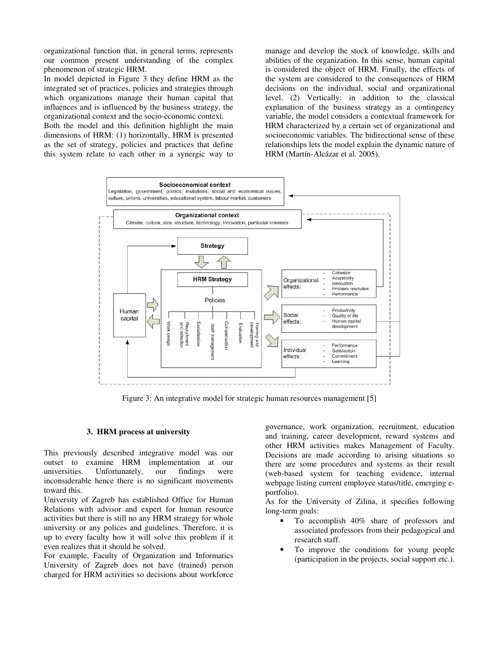organizational function that, in general terms, represents our common present understanding of the complex phenomenon of strategic HRM.

In model depicted in Figure 3 they define HRM as the integrated set of practices, policies and strategies through which organizations manage their human capital that influences and is influenced by the business strategy, the organizational context and the socio-economic context.

Both the model and this definition highlight the main dimensions of HRM: (1) horizontally, HRM is presented as the set of strategy, policies and practices that define this system relate to each other in a synergic way to

manage and develop the stock of knowledge, skills and abilities of the organization. In this sense, human capital is considered the object of HRM. Finally, the effects of the system are considered to the consequences of HRM decisions on the individual, social and organizational level. (2) Vertically: in addition to the classical explanation of the business strategy as a contingency variable, the model considers a contextual framework for HRM characterized by a certain set of organizational and socioeconomic variables. The bidirectional sense of these relationships lets the model explain the dynamic nature of HRM (Martín-Alcázar et al. 2005).



Figure 3: An integrative model for strategic human resources management [5]

#### **3. HRM process at university**

This previously described integrative model was our outset to examine HRM implementation at our universities. Unfortunately, our findings were inconsiderable hence there is no significant movements toward this.

University of Zagreb has established Office for Human Relations with advisor and expert for human resource activities but there is still no any HRM strategy for whole university or any polices and guidelines. Therefore, it is up to every faculty how it will solve this problem if it even realizes that it should be solved.

For example, Faculty of Organization and Informatics University of Zagreb does not have (trained) person charged for HRM activities so decisions about workforce

governance, work organization, recruitment, education and training, career development, reward systems and other HRM activities makes Management of Faculty. Decisions are made according to arising situations so there are some procedures and systems as their result (web-based system for teaching evidence, internal webpage listing current employee status/title, emerging eportfolio).

As for the University of Zilina, it specifies following long-term goals:

- To accomplish 40% share of professors and associated professors from their pedagogical and research staff.
- To improve the conditions for young people (participation in the projects, social support etc.).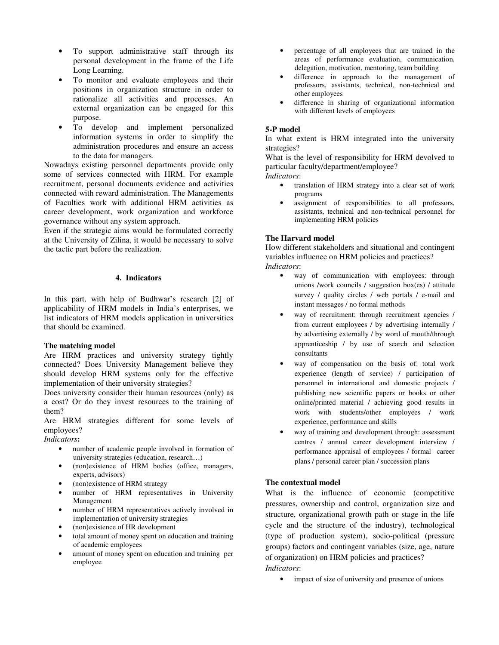- To support administrative staff through its personal development in the frame of the Life Long Learning.
- To monitor and evaluate employees and their positions in organization structure in order to rationalize all activities and processes. An external organization can be engaged for this purpose.
- To develop and implement personalized information systems in order to simplify the administration procedures and ensure an access to the data for managers.

Nowadays existing personnel departments provide only some of services connected with HRM. For example recruitment, personal documents evidence and activities connected with reward administration. The Managements of Faculties work with additional HRM activities as career development, work organization and workforce governance without any system approach.

Even if the strategic aims would be formulated correctly at the University of Zilina, it would be necessary to solve the tactic part before the realization.

## **4. Indicators**

In this part, with help of Budhwar's research [2] of applicability of HRM models in India's enterprises, we list indicators of HRM models application in universities that should be examined.

### **The matching model**

Are HRM practices and university strategy tightly connected? Does University Management believe they should develop HRM systems only for the effective implementation of their university strategies?

Does university consider their human resources (only) as a cost? Or do they invest resources to the training of them?

Are HRM strategies different for some levels of employees?

*Indicators***:** 

- number of academic people involved in formation of university strategies (education, research…)
- (non)existence of HRM bodies (office, managers, experts, advisors)
- (non)existence of HRM strategy
- number of HRM representatives in University Management
- number of HRM representatives actively involved in implementation of university strategies
- (non)existence of HR development
- total amount of money spent on education and training of academic employees
- amount of money spent on education and training per employee
- percentage of all employees that are trained in the areas of performance evaluation, communication, delegation, motivation, mentoring, team building
- difference in approach to the management of professors, assistants, technical, non-technical and other employees
- difference in sharing of organizational information with different levels of employees

#### **5-P model**

In what extent is HRM integrated into the university strategies?

What is the level of responsibility for HRM devolved to particular faculty/department/employee?

*Indicators*:

- translation of HRM strategy into a clear set of work programs
- assignment of responsibilities to all professors, assistants, technical and non-technical personnel for implementing HRM policies

## **The Harvard model**

How different stakeholders and situational and contingent variables influence on HRM policies and practices? *Indicators*:

- way of communication with employees: through unions /work councils / suggestion box(es) / attitude survey / quality circles / web portals / e-mail and instant messages / no formal methods
- way of recruitment: through recruitment agencies / from current employees / by advertising internally / by advertising externally / by word of mouth/through apprenticeship / by use of search and selection consultants
- way of compensation on the basis of: total work experience (length of service) / participation of personnel in international and domestic projects / publishing new scientific papers or books or other online/printed material / achieving good results in work with students/other employees / work experience, performance and skills
- way of training and development through: assessment centres / annual career development interview / performance appraisal of employees / formal career plans / personal career plan / succession plans

## **The contextual model**

What is the influence of economic (competitive pressures, ownership and control, organization size and structure, organizational growth path or stage in the life cycle and the structure of the industry), technological (type of production system), socio-political (pressure groups) factors and contingent variables (size, age, nature of organization) on HRM policies and practices?

# *Indicators*:

• impact of size of university and presence of unions